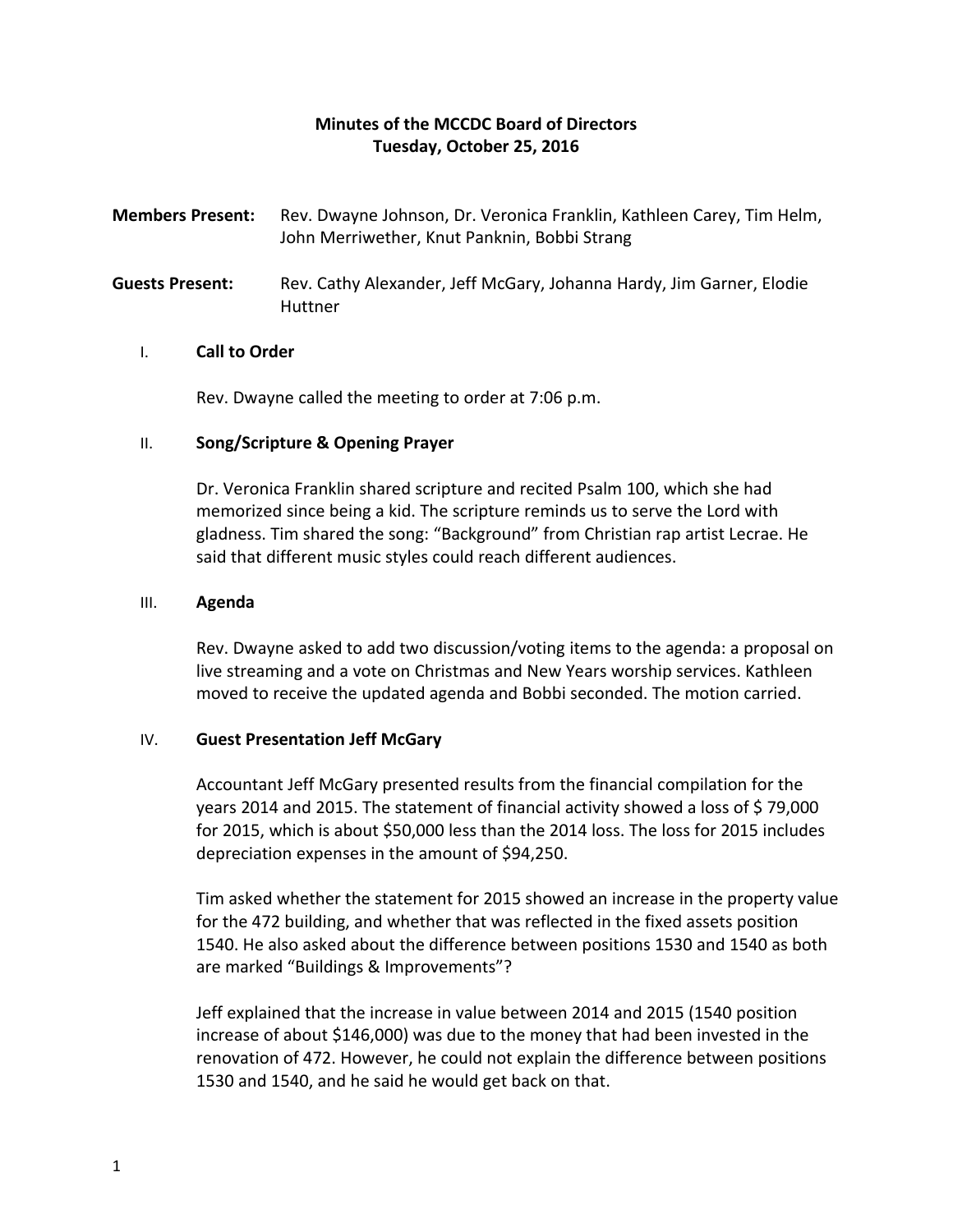# **Minutes of the MCCDC Board of Directors Tuesday, October 25, 2016**

- **Members Present:** Rev. Dwayne Johnson, Dr. Veronica Franklin, Kathleen Carey, Tim Helm, John Merriwether, Knut Panknin, Bobbi Strang
- **Guests Present:** Rev. Cathy Alexander, Jeff McGary, Johanna Hardy, Jim Garner, Elodie Huttner

## I. **Call to Order**

Rev. Dwayne called the meeting to order at 7:06 p.m.

## II. **Song/Scripture & Opening Prayer**

Dr. Veronica Franklin shared scripture and recited Psalm 100, which she had memorized since being a kid. The scripture reminds us to serve the Lord with gladness. Tim shared the song: "Background" from Christian rap artist Lecrae. He said that different music styles could reach different audiences.

## III. **Agenda**

Rev. Dwayne asked to add two discussion/voting items to the agenda: a proposal on live streaming and a vote on Christmas and New Years worship services. Kathleen moved to receive the updated agenda and Bobbi seconded. The motion carried.

## IV. **Guest Presentation Jeff McGary**

Accountant Jeff McGary presented results from the financial compilation for the years 2014 and 2015. The statement of financial activity showed a loss of \$ 79,000 for 2015, which is about \$50,000 less than the 2014 loss. The loss for 2015 includes depreciation expenses in the amount of \$94,250.

Tim asked whether the statement for 2015 showed an increase in the property value for the 472 building, and whether that was reflected in the fixed assets position 1540. He also asked about the difference between positions 1530 and 1540 as both are marked "Buildings & Improvements"?

Jeff explained that the increase in value between 2014 and 2015 (1540 position increase of about \$146,000) was due to the money that had been invested in the renovation of 472. However, he could not explain the difference between positions 1530 and 1540, and he said he would get back on that.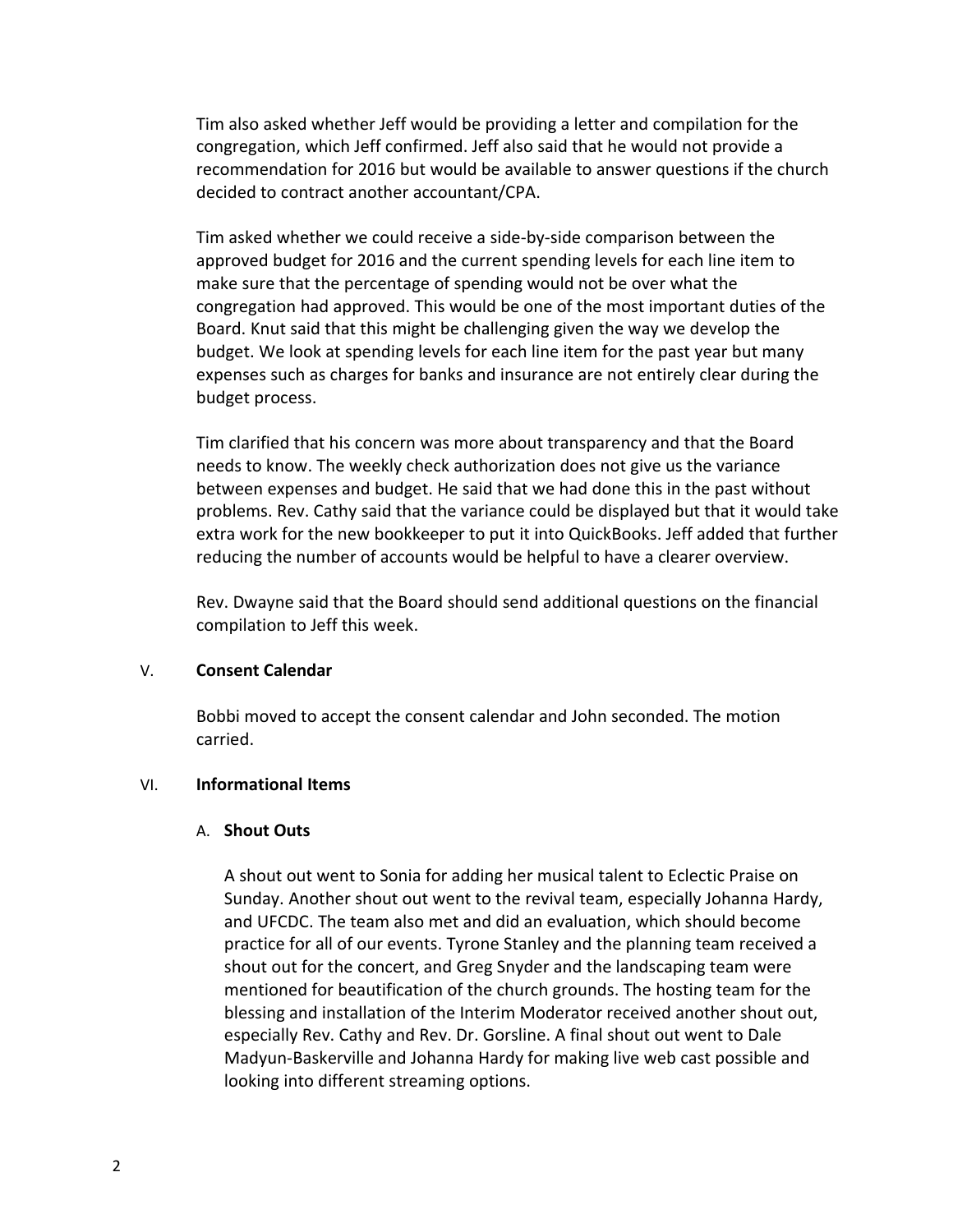Tim also asked whether Jeff would be providing a letter and compilation for the congregation, which Jeff confirmed. Jeff also said that he would not provide a recommendation for 2016 but would be available to answer questions if the church decided to contract another accountant/CPA.

Tim asked whether we could receive a side-by-side comparison between the approved budget for 2016 and the current spending levels for each line item to make sure that the percentage of spending would not be over what the congregation had approved. This would be one of the most important duties of the Board. Knut said that this might be challenging given the way we develop the budget. We look at spending levels for each line item for the past year but many expenses such as charges for banks and insurance are not entirely clear during the budget process.

Tim clarified that his concern was more about transparency and that the Board needs to know. The weekly check authorization does not give us the variance between expenses and budget. He said that we had done this in the past without problems. Rev. Cathy said that the variance could be displayed but that it would take extra work for the new bookkeeper to put it into QuickBooks. Jeff added that further reducing the number of accounts would be helpful to have a clearer overview.

Rev. Dwayne said that the Board should send additional questions on the financial compilation to Jeff this week.

## V. **Consent Calendar**

Bobbi moved to accept the consent calendar and John seconded. The motion carried.

### VI. **Informational Items**

### A. **Shout Outs**

A shout out went to Sonia for adding her musical talent to Eclectic Praise on Sunday. Another shout out went to the revival team, especially Johanna Hardy, and UFCDC. The team also met and did an evaluation, which should become practice for all of our events. Tyrone Stanley and the planning team received a shout out for the concert, and Greg Snyder and the landscaping team were mentioned for beautification of the church grounds. The hosting team for the blessing and installation of the Interim Moderator received another shout out, especially Rev. Cathy and Rev. Dr. Gorsline. A final shout out went to Dale Madyun-Baskerville and Johanna Hardy for making live web cast possible and looking into different streaming options.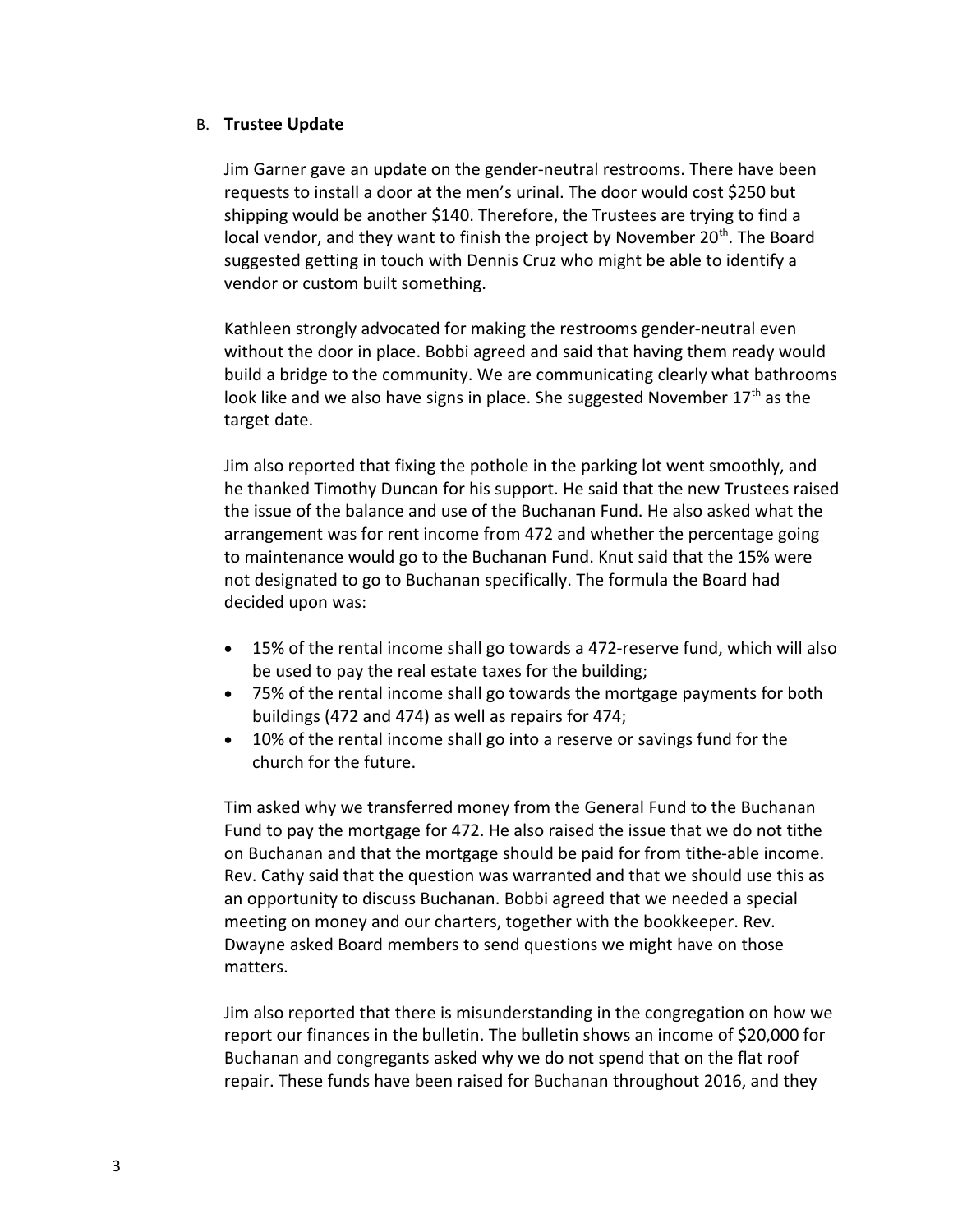## B. **Trustee Update**

Jim Garner gave an update on the gender-neutral restrooms. There have been requests to install a door at the men's urinal. The door would cost \$250 but shipping would be another \$140. Therefore, the Trustees are trying to find a local vendor, and they want to finish the project by November  $20<sup>th</sup>$ . The Board suggested getting in touch with Dennis Cruz who might be able to identify a vendor or custom built something.

Kathleen strongly advocated for making the restrooms gender-neutral even without the door in place. Bobbi agreed and said that having them ready would build a bridge to the community. We are communicating clearly what bathrooms look like and we also have signs in place. She suggested November 17<sup>th</sup> as the target date.

Jim also reported that fixing the pothole in the parking lot went smoothly, and he thanked Timothy Duncan for his support. He said that the new Trustees raised the issue of the balance and use of the Buchanan Fund. He also asked what the arrangement was for rent income from 472 and whether the percentage going to maintenance would go to the Buchanan Fund. Knut said that the 15% were not designated to go to Buchanan specifically. The formula the Board had decided upon was:

- 15% of the rental income shall go towards a 472-reserve fund, which will also be used to pay the real estate taxes for the building;
- 75% of the rental income shall go towards the mortgage payments for both buildings (472 and 474) as well as repairs for 474;
- 10% of the rental income shall go into a reserve or savings fund for the church for the future.

Tim asked why we transferred money from the General Fund to the Buchanan Fund to pay the mortgage for 472. He also raised the issue that we do not tithe on Buchanan and that the mortgage should be paid for from tithe-able income. Rev. Cathy said that the question was warranted and that we should use this as an opportunity to discuss Buchanan. Bobbi agreed that we needed a special meeting on money and our charters, together with the bookkeeper. Rev. Dwayne asked Board members to send questions we might have on those matters.

Jim also reported that there is misunderstanding in the congregation on how we report our finances in the bulletin. The bulletin shows an income of \$20,000 for Buchanan and congregants asked why we do not spend that on the flat roof repair. These funds have been raised for Buchanan throughout 2016, and they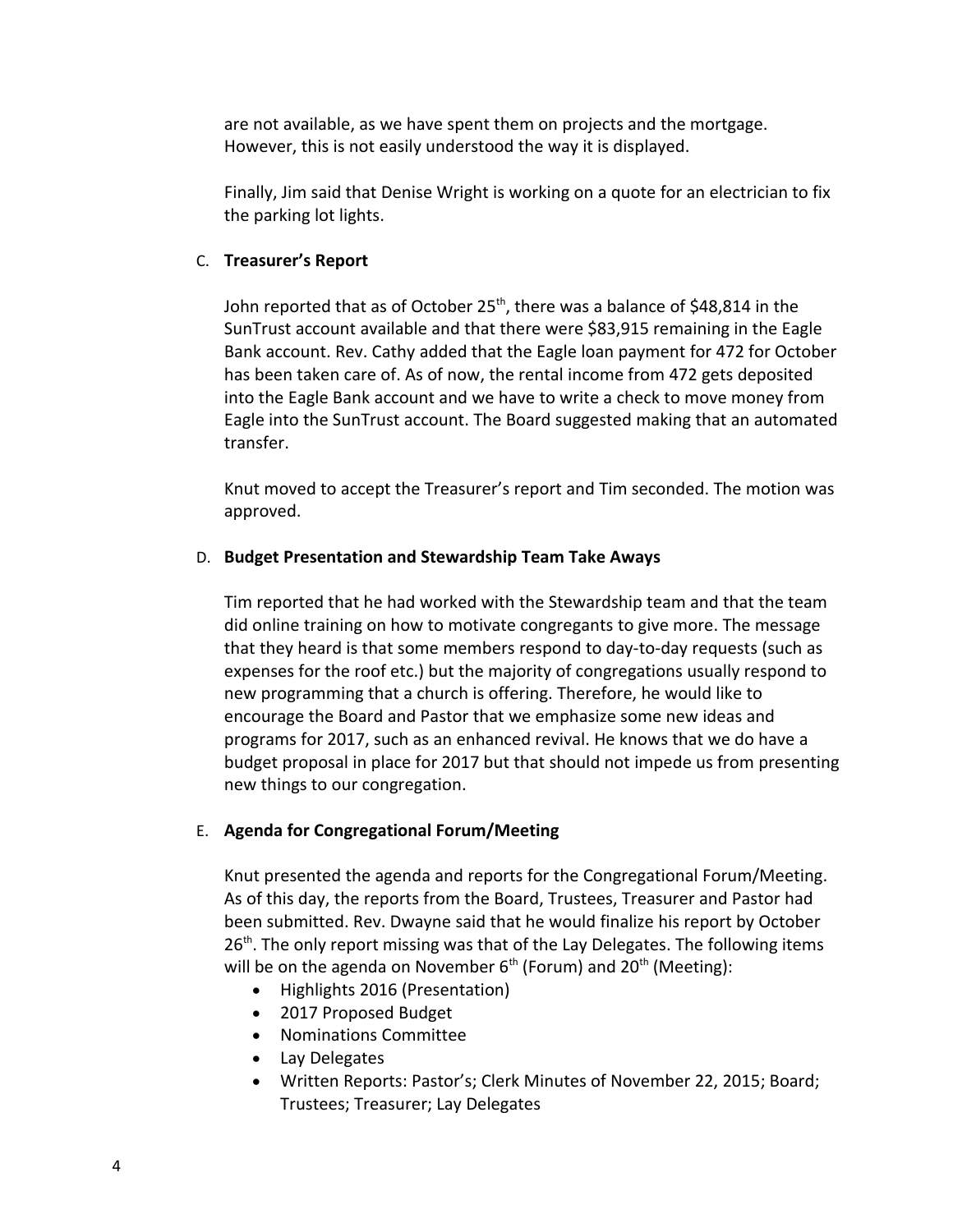are not available, as we have spent them on projects and the mortgage. However, this is not easily understood the way it is displayed.

Finally, Jim said that Denise Wright is working on a quote for an electrician to fix the parking lot lights.

# C. **Treasurer's Report**

John reported that as of October 25<sup>th</sup>, there was a balance of \$48,814 in the SunTrust account available and that there were \$83,915 remaining in the Eagle Bank account. Rev. Cathy added that the Eagle loan payment for 472 for October has been taken care of. As of now, the rental income from 472 gets deposited into the Eagle Bank account and we have to write a check to move money from Eagle into the SunTrust account. The Board suggested making that an automated transfer.

Knut moved to accept the Treasurer's report and Tim seconded. The motion was approved.

# D. **Budget Presentation and Stewardship Team Take Aways**

Tim reported that he had worked with the Stewardship team and that the team did online training on how to motivate congregants to give more. The message that they heard is that some members respond to day-to-day requests (such as expenses for the roof etc.) but the majority of congregations usually respond to new programming that a church is offering. Therefore, he would like to encourage the Board and Pastor that we emphasize some new ideas and programs for 2017, such as an enhanced revival. He knows that we do have a budget proposal in place for 2017 but that should not impede us from presenting new things to our congregation.

## E. **Agenda for Congregational Forum/Meeting**

Knut presented the agenda and reports for the Congregational Forum/Meeting. As of this day, the reports from the Board, Trustees, Treasurer and Pastor had been submitted. Rev. Dwayne said that he would finalize his report by October 26<sup>th</sup>. The only report missing was that of the Lay Delegates. The following items will be on the agenda on November  $6<sup>th</sup>$  (Forum) and 20<sup>th</sup> (Meeting):

- Highlights 2016 (Presentation)
- 2017 Proposed Budget
- Nominations Committee
- Lay Delegates
- Written Reports: Pastor's; Clerk Minutes of November 22, 2015; Board; Trustees; Treasurer; Lay Delegates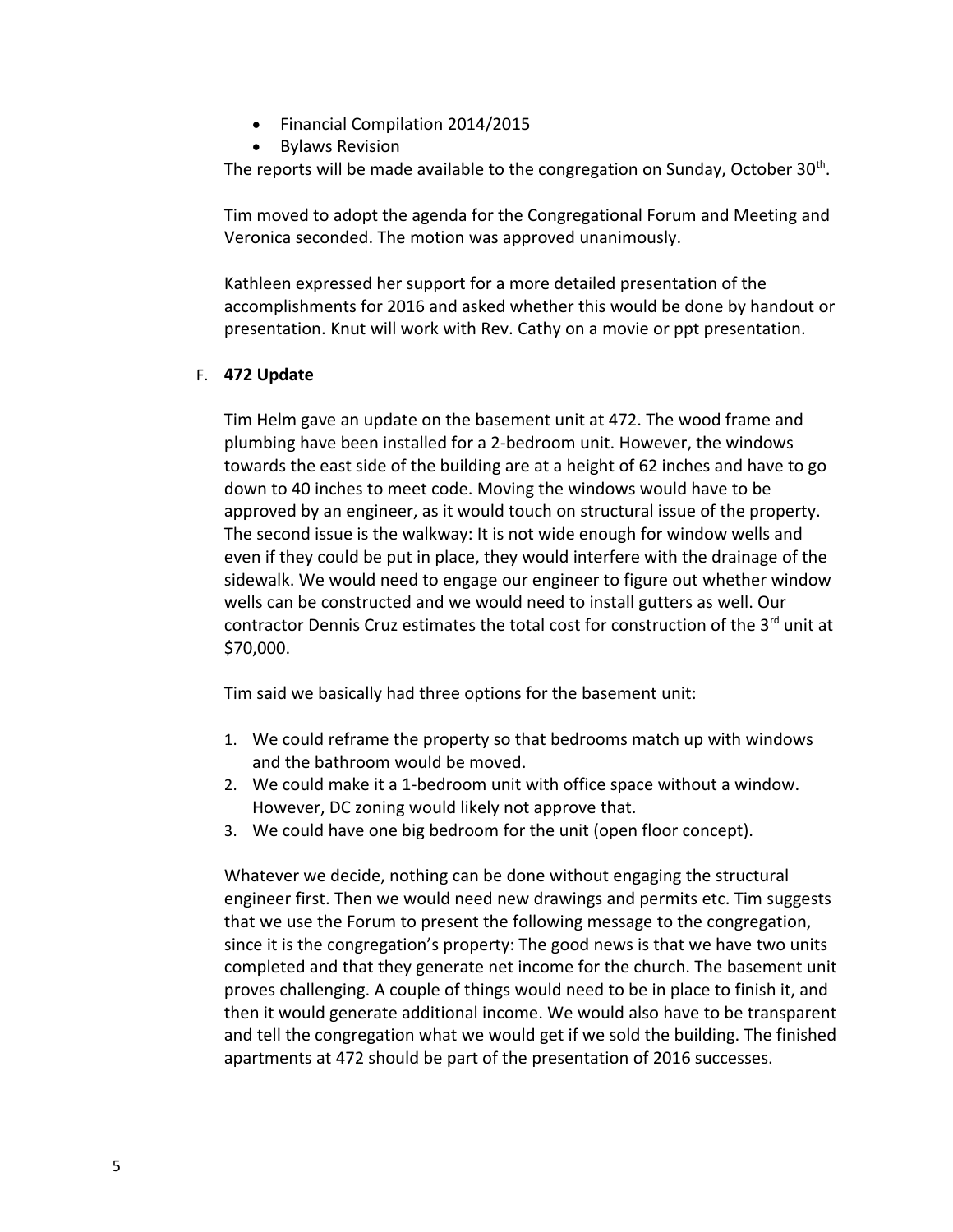- Financial Compilation 2014/2015
- Bylaws Revision

The reports will be made available to the congregation on Sunday, October  $30<sup>th</sup>$ .

Tim moved to adopt the agenda for the Congregational Forum and Meeting and Veronica seconded. The motion was approved unanimously.

Kathleen expressed her support for a more detailed presentation of the accomplishments for 2016 and asked whether this would be done by handout or presentation. Knut will work with Rev. Cathy on a movie or ppt presentation.

# F. **472 Update**

Tim Helm gave an update on the basement unit at 472. The wood frame and plumbing have been installed for a 2-bedroom unit. However, the windows towards the east side of the building are at a height of 62 inches and have to go down to 40 inches to meet code. Moving the windows would have to be approved by an engineer, as it would touch on structural issue of the property. The second issue is the walkway: It is not wide enough for window wells and even if they could be put in place, they would interfere with the drainage of the sidewalk. We would need to engage our engineer to figure out whether window wells can be constructed and we would need to install gutters as well. Our contractor Dennis Cruz estimates the total cost for construction of the  $3^{rd}$  unit at \$70,000.

Tim said we basically had three options for the basement unit:

- 1. We could reframe the property so that bedrooms match up with windows and the bathroom would be moved.
- 2. We could make it a 1-bedroom unit with office space without a window. However, DC zoning would likely not approve that.
- 3. We could have one big bedroom for the unit (open floor concept).

Whatever we decide, nothing can be done without engaging the structural engineer first. Then we would need new drawings and permits etc. Tim suggests that we use the Forum to present the following message to the congregation, since it is the congregation's property: The good news is that we have two units completed and that they generate net income for the church. The basement unit proves challenging. A couple of things would need to be in place to finish it, and then it would generate additional income. We would also have to be transparent and tell the congregation what we would get if we sold the building. The finished apartments at 472 should be part of the presentation of 2016 successes.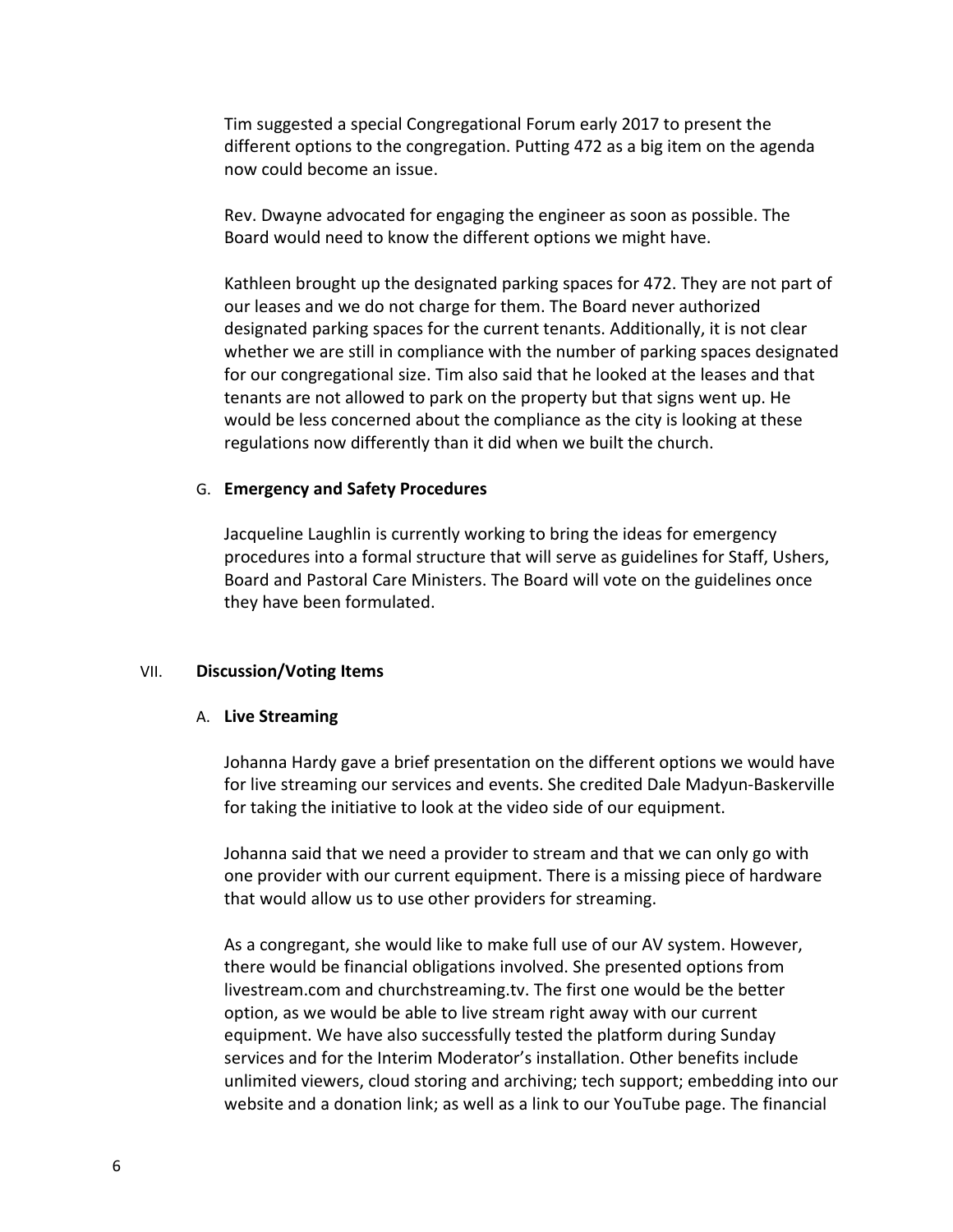Tim suggested a special Congregational Forum early 2017 to present the different options to the congregation. Putting 472 as a big item on the agenda now could become an issue.

Rev. Dwayne advocated for engaging the engineer as soon as possible. The Board would need to know the different options we might have.

Kathleen brought up the designated parking spaces for 472. They are not part of our leases and we do not charge for them. The Board never authorized designated parking spaces for the current tenants. Additionally, it is not clear whether we are still in compliance with the number of parking spaces designated for our congregational size. Tim also said that he looked at the leases and that tenants are not allowed to park on the property but that signs went up. He would be less concerned about the compliance as the city is looking at these regulations now differently than it did when we built the church.

#### G. **Emergency and Safety Procedures**

Jacqueline Laughlin is currently working to bring the ideas for emergency procedures into a formal structure that will serve as guidelines for Staff, Ushers, Board and Pastoral Care Ministers. The Board will vote on the guidelines once they have been formulated.

#### VII. **Discussion/Voting Items**

#### A. **Live Streaming**

Johanna Hardy gave a brief presentation on the different options we would have for live streaming our services and events. She credited Dale Madyun-Baskerville for taking the initiative to look at the video side of our equipment.

Johanna said that we need a provider to stream and that we can only go with one provider with our current equipment. There is a missing piece of hardware that would allow us to use other providers for streaming.

As a congregant, she would like to make full use of our AV system. However, there would be financial obligations involved. She presented options from livestream.com and churchstreaming.tv. The first one would be the better option, as we would be able to live stream right away with our current equipment. We have also successfully tested the platform during Sunday services and for the Interim Moderator's installation. Other benefits include unlimited viewers, cloud storing and archiving; tech support; embedding into our website and a donation link; as well as a link to our YouTube page. The financial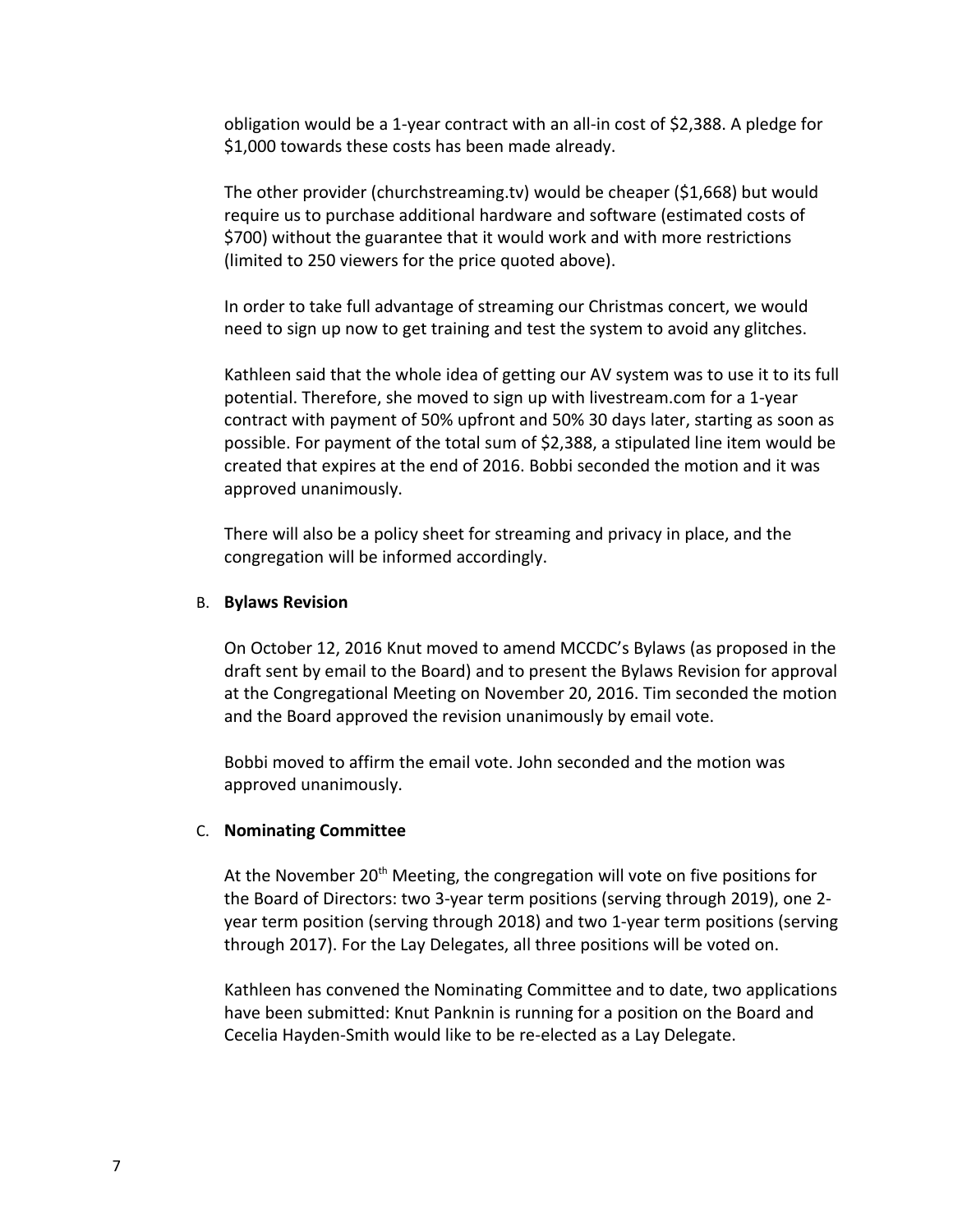obligation would be a 1-year contract with an all-in cost of \$2,388. A pledge for \$1,000 towards these costs has been made already.

The other provider (churchstreaming.tv) would be cheaper (\$1,668) but would require us to purchase additional hardware and software (estimated costs of \$700) without the guarantee that it would work and with more restrictions (limited to 250 viewers for the price quoted above).

In order to take full advantage of streaming our Christmas concert, we would need to sign up now to get training and test the system to avoid any glitches.

Kathleen said that the whole idea of getting our AV system was to use it to its full potential. Therefore, she moved to sign up with livestream.com for a 1-year contract with payment of 50% upfront and 50% 30 days later, starting as soon as possible. For payment of the total sum of \$2,388, a stipulated line item would be created that expires at the end of 2016. Bobbi seconded the motion and it was approved unanimously.

There will also be a policy sheet for streaming and privacy in place, and the congregation will be informed accordingly.

### B. **Bylaws Revision**

On October 12, 2016 Knut moved to amend MCCDC's Bylaws (as proposed in the draft sent by email to the Board) and to present the Bylaws Revision for approval at the Congregational Meeting on November 20, 2016. Tim seconded the motion and the Board approved the revision unanimously by email vote.

Bobbi moved to affirm the email vote. John seconded and the motion was approved unanimously.

### C. **Nominating Committee**

At the November  $20<sup>th</sup>$  Meeting, the congregation will vote on five positions for the Board of Directors: two 3-year term positions (serving through 2019), one 2 year term position (serving through 2018) and two 1-year term positions (serving through 2017). For the Lay Delegates, all three positions will be voted on.

Kathleen has convened the Nominating Committee and to date, two applications have been submitted: Knut Panknin is running for a position on the Board and Cecelia Hayden-Smith would like to be re-elected as a Lay Delegate.